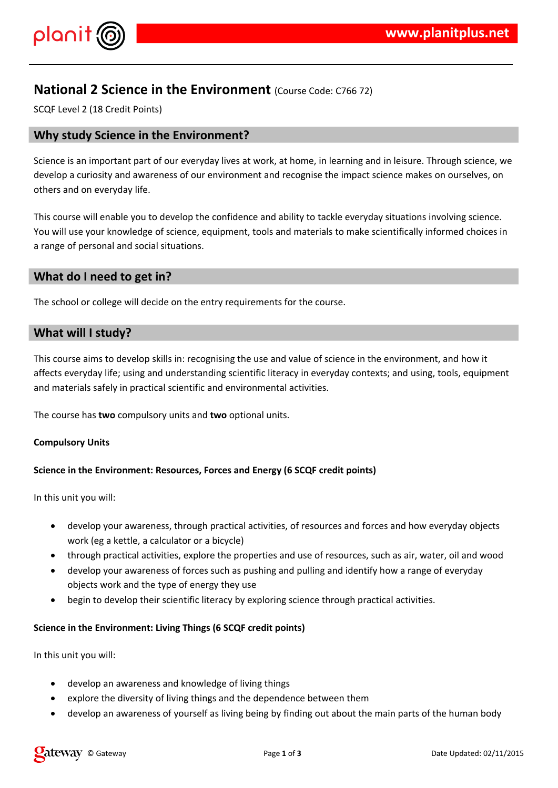

# **National 2 Science in the Environment** (Course Code: C766 72)

SCQF Level 2 (18 Credit Points)

# **Why study Science in the Environment?**

Science is an important part of our everyday lives at work, at home, in learning and in leisure. Through science, we develop a curiosity and awareness of our environment and recognise the impact science makes on ourselves, on others and on everyday life.

This course will enable you to develop the confidence and ability to tackle everyday situations involving science. You will use your knowledge of science, equipment, tools and materials to make scientifically informed choices in a range of personal and social situations.

# **What do I need to get in?**

The school or college will decide on the entry requirements for the course.

# **What will I study?**

This course aims to develop skills in: recognising the use and value of science in the environment, and how it affects everyday life; using and understanding scientific literacy in everyday contexts; and using, tools, equipment and materials safely in practical scientific and environmental activities.

The course has **two** compulsory units and **two** optional units.

# **Compulsory Units**

# **Science in the Environment: Resources, Forces and Energy (6 SCQF credit points)**

In this unit you will:

- develop your awareness, through practical activities, of resources and forces and how everyday objects work (eg a kettle, a calculator or a bicycle)
- through practical activities, explore the properties and use of resources, such as air, water, oil and wood
- develop your awareness of forces such as pushing and pulling and identify how a range of everyday objects work and the type of energy they use
- begin to develop their scientific literacy by exploring science through practical activities.

# **Science in the Environment: Living Things (6 SCQF credit points)**

In this unit you will:

- develop an awareness and knowledge of living things
- explore the diversity of living things and the dependence between them
- develop an awareness of yourself as living being by finding out about the main parts of the human body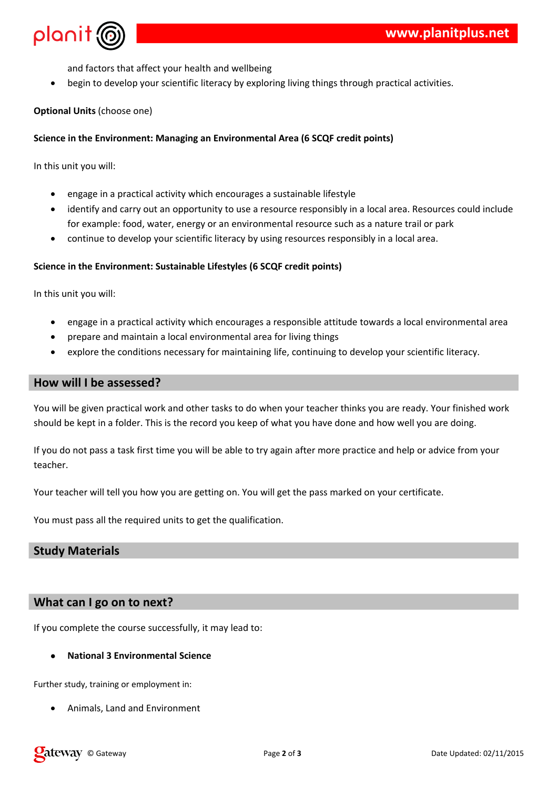

and factors that affect your health and wellbeing

begin to develop your scientific literacy by exploring living things through practical activities.

# **Optional Units** (choose one)

# **Science in the Environment: Managing an Environmental Area (6 SCQF credit points)**

In this unit you will:

- engage in a practical activity which encourages a sustainable lifestyle
- identify and carry out an opportunity to use a resource responsibly in a local area. Resources could include for example: food, water, energy or an environmental resource such as a nature trail or park
- continue to develop your scientific literacy by using resources responsibly in a local area.

# **Science in the Environment: Sustainable Lifestyles (6 SCQF credit points)**

In this unit you will:

- engage in a practical activity which encourages a responsible attitude towards a local environmental area
- prepare and maintain a local environmental area for living things
- explore the conditions necessary for maintaining life, continuing to develop your scientific literacy.

# **How will I be assessed?**

You will be given practical work and other tasks to do when your teacher thinks you are ready. Your finished work should be kept in a folder. This is the record you keep of what you have done and how well you are doing.

If you do not pass a task first time you will be able to try again after more practice and help or advice from your teacher.

Your teacher will tell you how you are getting on. You will get the pass marked on your certificate.

You must pass all the required units to get the qualification.

# **Study Materials**

# **What can I go on to next?**

If you complete the course successfully, it may lead to:

# **National 3 Environmental Science**

Further study, training or employment in:

Animals, Land and Environment